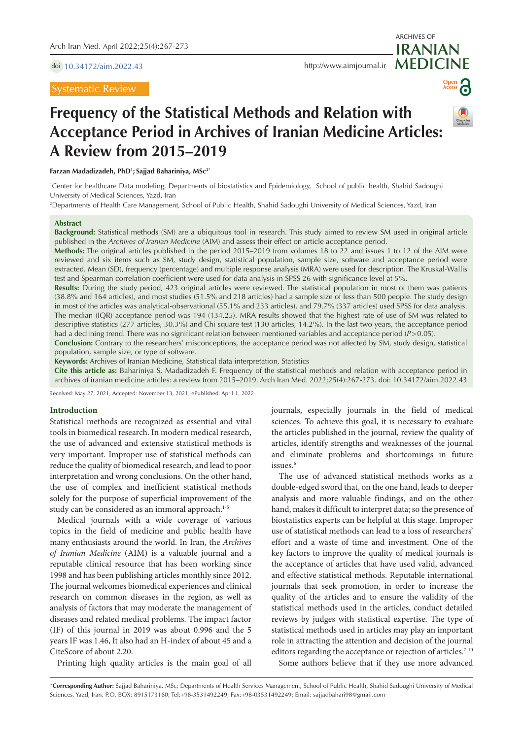doi [10.34172/aim.2022.43](https://doi.org/10.34172/aim.2022.43)

# Systematic Review

**MEDICINE** <http://www.aimjournal.ir>



ARCHIVES OF

**IRANIAN**

# **Frequency of the Statistical Methods and Relation with Acceptance Period in Archives of Iranian Medicine Articles: A Review from 2015–2019**

**Farzan Madadizadeh, PhD1 ; Sajjad Bahariniya, MSc2\***

1 Center for healthcare Data modeling, Departments of biostatistics and Epidemiology, School of public health, Shahid Sadoughi University of Medical Sciences, Yazd, Iran

2 Departments of Health Care Management, School of Public Health, Shahid Sadoughi University of Medical Sciences, Yazd, Iran

#### **Abstract**

**Background:** Statistical methods (SM) are a ubiquitous tool in research. This study aimed to review SM used in original article published in the *Archives of Iranian Medicine* (AIM) and assess their effect on article acceptance period.

**Methods:** The original articles published in the period 2015–2019 from volumes 18 to 22 and issues 1 to 12 of the AIM were reviewed and six items such as SM, study design, statistical population, sample size, software and acceptance period were extracted. Mean (SD), frequency (percentage) and multiple response analysis (MRA) were used for description. The Kruskal-Wallis test and Spearman correlation coefficient were used for data analysis in SPSS 26 with significance level at 5%.

**Results:** During the study period, 423 original articles were reviewed. The statistical population in most of them was patients (38.8% and 164 articles), and most studies (51.5% and 218 articles) had a sample size of less than 500 people. The study design in most of the articles was analytical-observational (55.1% and 233 articles), and 79.7% (337 articles) used SPSS for data analysis. The median (IQR) acceptance period was 194 (134.25). MRA results showed that the highest rate of use of SM was related to descriptive statistics (277 articles, 30.3%) and Chi square test (130 articles, 14.2%). In the last two years, the acceptance period had a declining trend. There was no significant relation between mentioned variables and acceptance period (*P*>0.05).

**Conclusion:** Contrary to the researchers' misconceptions, the acceptance period was not affected by SM, study design, statistical population, sample size, or type of software.

**Keywords:** Archives of Iranian Medicine, Statistical data interpretation, Statistics

**Cite this article as:** Bahariniya S, Madadizadeh F. Frequency of the statistical methods and relation with acceptance period in archives of iranian medicine articles: a review from 2015–2019. Arch Iran Med. 2022;25(4):267-273. doi: 10.34172/aim.2022.43

Received: May 27, 2021, Accepted: November 13, 2021, ePublished: April 1, 2022

## **Introduction**

Statistical methods are recognized as essential and vital tools in biomedical research. In modern medical research, the use of advanced and extensive statistical methods is very important. Improper use of statistical methods can reduce the quality of biomedical research, and lead to poor interpretation and wrong conclusions. On the other hand, the use of complex and inefficient statistical methods solely for the purpose of superficial improvement of the study can be considered as an immoral approach.<sup>1-5</sup>

Medical journals with a wide coverage of various topics in the field of medicine and public health have many enthusiasts around the world. In Iran, the *Archives of Iranian Medicine* (AIM) is a valuable journal and a reputable clinical resource that has been working since 1998 and has been publishing articles monthly since 2012. The journal welcomes biomedical experiences and clinical research on common diseases in the region, as well as analysis of factors that may moderate the management of diseases and related medical problems. The impact factor (IF) of this journal in 2019 was about 0.996 and the 5 years IF was 1.46, It also had an H-index of about 45 and a CiteScore of about 2.20.

Printing high quality articles is the main goal of all

journals, especially journals in the field of medical sciences. To achieve this goal, it is necessary to evaluate the articles published in the journal, review the quality of articles, identify strengths and weaknesses of the journal and eliminate problems and shortcomings in future issues.<sup>6</sup>

The use of advanced statistical methods works as a double-edged sword that, on the one hand, leads to deeper analysis and more valuable findings, and on the other hand, makes it difficult to interpret data; so the presence of biostatistics experts can be helpful at this stage. Improper use of statistical methods can lead to a loss of researchers' effort and a waste of time and investment. One of the key factors to improve the quality of medical journals is the acceptance of articles that have used valid, advanced and effective statistical methods. Reputable international journals that seek promotion, in order to increase the quality of the articles and to ensure the validity of the statistical methods used in the articles, conduct detailed reviews by judges with statistical expertise. The type of statistical methods used in articles may play an important role in attracting the attention and decision of the journal editors regarding the acceptance or rejection of articles.<sup>7-10</sup> Some authors believe that if they use more advanced

\***Corresponding Author:** Sajjad Bahariniya, MSc; Departments of Health Services Management, School of Public Health, Shahid Sadoughi University of Medical Sciences, Yazd, Iran. P.O. BOX: 8915173160; Tel:+98-3531492249; Fax:+98-03531492249; Email: sajjadbahari98@gmail.com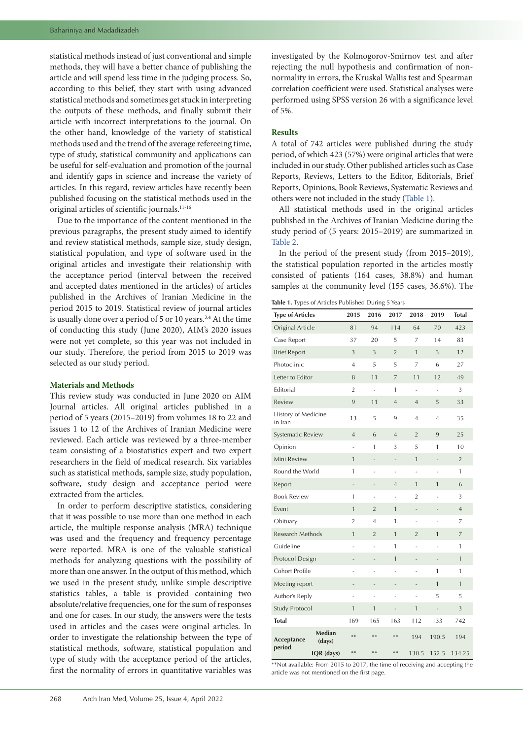statistical methods instead of just conventional and simple methods, they will have a better chance of publishing the article and will spend less time in the judging process. So, according to this belief, they start with using advanced statistical methods and sometimes get stuck in interpreting the outputs of these methods, and finally submit their article with incorrect interpretations to the journal. On the other hand, knowledge of the variety of statistical methods used and the trend of the average refereeing time, type of study, statistical community and applications can be useful for self-evaluation and promotion of the journal and identify gaps in science and increase the variety of articles. In this regard, review articles have recently been published focusing on the statistical methods used in the original articles of scientific journals.11-16

Due to the importance of the content mentioned in the previous paragraphs, the present study aimed to identify and review statistical methods, sample size, study design, statistical population, and type of software used in the original articles and investigate their relationship with the acceptance period (interval between the received and accepted dates mentioned in the articles) of articles published in the Archives of Iranian Medicine in the period 2015 to 2019. Statistical review of journal articles is usually done over a period of 5 or 10 years.<sup>3,4</sup> At the time of conducting this study (June 2020), AIM's 2020 issues were not yet complete, so this year was not included in our study. Therefore, the period from 2015 to 2019 was selected as our study period.

# **Materials and Methods**

This review study was conducted in June 2020 on AIM Journal articles. All original articles published in a period of 5 years (2015–2019) from volumes 18 to 22 and issues 1 to 12 of the Archives of Iranian Medicine were reviewed. Each article was reviewed by a three-member team consisting of a biostatistics expert and two expert researchers in the field of medical research. Six variables such as statistical methods, sample size, study population, software, study design and acceptance period were extracted from the articles.

In order to perform descriptive statistics, considering that it was possible to use more than one method in each article, the multiple response analysis (MRA) technique was used and the frequency and frequency percentage were reported. MRA is one of the valuable statistical methods for analyzing questions with the possibility of more than one answer. In the output of this method, which we used in the present study, unlike simple descriptive statistics tables, a table is provided containing two absolute/relative frequencies, one for the sum of responses and one for cases. In our study, the answers were the tests used in articles and the cases were original articles. In order to investigate the relationship between the type of statistical methods, software, statistical population and type of study with the acceptance period of the articles, first the normality of errors in quantitative variables was

# **Results**

A total of 742 articles were published during the study period, of which 423 (57%) were original articles that were included in our study. Other published articles such as Case Reports, Reviews, Letters to the Editor, Editorials, Brief Reports, Opinions, Book Reviews, Systematic Reviews and others were not included in the study [\(Table](#page-1-0) 1).

All statistical methods used in the original articles published in the Archives of Iranian Medicine during the study period of (5 years: 2015–2019) are summarized in [Table](#page-2-0) 2.

In the period of the present study (from 2015–2019), the statistical population reported in the articles mostly consisted of patients (164 cases, 38.8%) and human samples at the community level (155 cases, 36.6%). The

<span id="page-1-0"></span>**Table 1.** Types of Articles Published During 5 Years

| <b>Type of Articles</b>        |                  | 2015                     | 2016                     | 2017           | 2018                     | 2019                     | <b>Total</b>   |
|--------------------------------|------------------|--------------------------|--------------------------|----------------|--------------------------|--------------------------|----------------|
| Original Article               |                  | 81                       | 94                       | 114            | 64                       | 70                       | 423            |
| Case Report                    |                  | 37                       | 20                       | 5              | 7                        | 14                       | 83             |
| <b>Brief Report</b>            |                  | 3                        | 3                        | $\overline{2}$ | 1                        | 3                        | 12             |
| Photoclinic                    |                  | $\overline{4}$           | 5                        | 5              | 7                        | 6                        | 27             |
| Letter to Editor               |                  | 8                        | 11                       | $\overline{7}$ | 11                       | 12                       | 49             |
| Editorial                      |                  | $\overline{2}$           | $\sim$                   | 1              | ÷                        |                          | 3              |
| Review                         |                  | 9                        | 11                       | $\overline{4}$ | $\overline{4}$           | 5                        | 33             |
| History of Medicine<br>in Iran |                  | 13                       | 5                        | 9              | 4                        | $\overline{4}$           | 35             |
| Systematic Review              |                  | $\overline{4}$           | 6                        | $\overline{4}$ | $\overline{2}$           | 9                        | 25             |
| Opinion                        |                  | ÷,                       | 1                        | 3              | 5                        | 1                        | 10             |
| Mini Review                    |                  | 1                        |                          |                | 1                        | $\overline{\phantom{m}}$ | $\overline{2}$ |
| Round the World                |                  | 1                        | ÷,                       | ÷,             | ÷,                       | ٠                        | 1              |
| Report                         |                  | -                        | -                        | 4              | 1                        | 1                        | 6              |
| <b>Book Review</b>             |                  | 1                        | ÷,                       | L,             | $\overline{2}$           | L.                       | 3              |
| Event                          |                  | $\mathbf{1}$             | $\overline{2}$           | $\mathbf{1}$   | $\overline{\phantom{m}}$ | -                        | $\overline{4}$ |
| Obituary                       |                  | $\overline{2}$           | $\overline{4}$           | 1              | ÷                        | ÷,                       | 7              |
| Research Methods               |                  | 1                        | $\overline{2}$           | 1              | $\overline{2}$           | $\mathbf{1}$             | 7              |
| Guideline                      |                  | -                        | ÷,                       | 1              | ÷,                       | $\frac{1}{2}$            | 1              |
| Protocol Design                |                  | -                        | -                        | 1              | -                        | -                        | 1              |
| Cohort Profile                 |                  |                          | ÷,                       | L              | L                        | 1                        | 1              |
| Meeting report                 |                  | $\overline{\phantom{0}}$ | $\overline{\phantom{0}}$ | -              | -                        | 1                        | $\mathbf{1}$   |
| Author's Reply                 |                  |                          |                          | -              |                          | 5                        | 5              |
| Study Protocol                 |                  | 1                        | 1                        | -              | $\mathbf{1}$             | ÷,                       | $\mathfrak z$  |
| <b>Total</b>                   |                  | 169                      | 165                      | 163            | 112                      | 133                      | 742            |
| Acceptance<br>period           | Median<br>(days) | $**$                     | $**$                     | **             | 194                      | 190.5                    | 194            |
|                                | IQR (days)       | $***$                    | $**$                     | **             | 130.5                    | 152.5                    | 134.25         |

\*\*Not available: From 2015 to 2017, the time of receiving and accepting the article was not mentioned on the first page.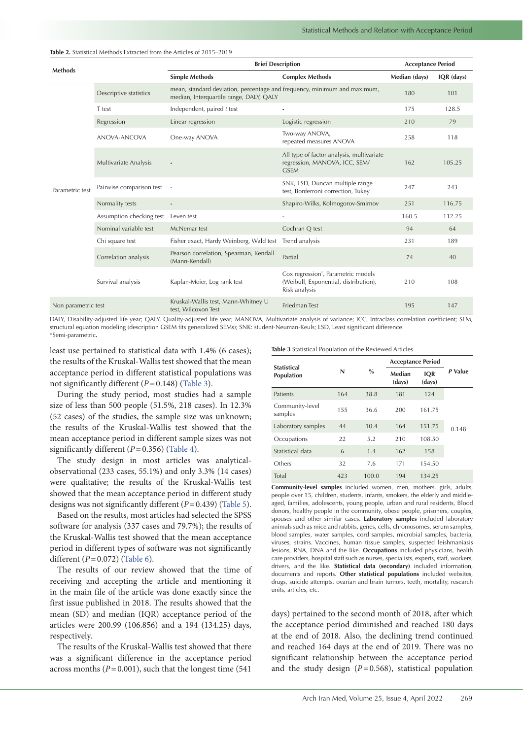| <b>Methods</b>      |                          | <b>Brief Description</b>                                                                                            | <b>Acceptance Period</b>                                                                                  |               |            |
|---------------------|--------------------------|---------------------------------------------------------------------------------------------------------------------|-----------------------------------------------------------------------------------------------------------|---------------|------------|
|                     |                          | <b>Simple Methods</b>                                                                                               | <b>Complex Methods</b>                                                                                    | Median (days) | IQR (days) |
|                     | Descriptive statistics   | mean, standard deviation, percentage and frequency, minimum and maximum,<br>median, Interquartile range, DALY, QALY |                                                                                                           | 180           | 101        |
|                     | T test                   | Independent, paired $t$ test                                                                                        | ٠                                                                                                         | 175           | 128.5      |
|                     | Regression               | Linear regression                                                                                                   | Logistic regression                                                                                       | 210           | 79         |
|                     | ANOVA-ANCOVA             | One-way ANOVA                                                                                                       | Two-way ANOVA,<br>repeated measures ANOVA                                                                 | 258           | 118        |
|                     | Multivariate Analysis    |                                                                                                                     | All type of factor analysis, multivariate<br>regression, MANOVA, ICC, SEM/<br><b>GSEM</b>                 | 162           | 105.25     |
| Parametric test     | Pairwise comparison test |                                                                                                                     | SNK, LSD, Duncan multiple range<br>test, Bonferroni correction, Tukey                                     | 247           | 243        |
|                     | Normality tests          | Shapiro-Wilks, Kolmogorov-Smirnov                                                                                   |                                                                                                           | 251           | 116.75     |
|                     | Assumption checking test | Leven test                                                                                                          |                                                                                                           | 160.5         | 112.25     |
|                     | Nominal variable test    | McNemar test                                                                                                        | Cochran Q test                                                                                            | 94            | 64         |
|                     | Chi square test          | Fisher exact, Hardy Weinberg, Wald test                                                                             | Trend analysis                                                                                            | 231           | 189        |
|                     | Correlation analysis     | Pearson correlation, Spearman, Kendall<br>(Mann-Kendall)                                                            | Partial                                                                                                   | 74            | 40         |
|                     | Survival analysis        | Kaplan-Meier, Log rank test                                                                                         | Cox regression <sup>*</sup> , Parametric models<br>(Weibull, Exponential, distribution),<br>Risk analysis | 210           | 108        |
| Non parametric test |                          | Kruskal-Wallis test, Mann-Whitney U<br>test, Wilcoxon Test                                                          | <b>Friedman Test</b>                                                                                      | 195           | 147        |

<span id="page-2-0"></span>**Table 2.** Statistical Methods Extracted from the Articles of 2015–2019

DALY, Disability-adjusted life year; QALY, Quality-adjusted life year; MANOVA, Multivariate analysis of variance; ICC, Intraclass correlation coefficient; SEM, structural equation modeling (description GSEM fits generalized SEMs); SNK: student-Neuman-Keuls; LSD, Least significant difference. \*Semi-parametric**.**

least use pertained to statistical data with 1.4% (6 cases); the results of the Kruskal-Wallis test showed that the mean acceptance period in different statistical populations was not significantly different (*P*=0.148) [\(Table](#page-2-1) 3).

During the study period, most studies had a sample size of less than 500 people (51.5%, 218 cases). In 12.3% (52 cases) of the studies, the sample size was unknown; the results of the Kruskal-Wallis test showed that the mean acceptance period in different sample sizes was not significantly different (*P*=0.356) [\(Table](#page-3-0) 4).

The study design in most articles was analyticalobservational (233 cases, 55.1%) and only 3.3% (14 cases) were qualitative; the results of the Kruskal-Wallis test showed that the mean acceptance period in different study designs was not significantly different (*P*=0.439) ([Table](#page-3-1) 5).

Based on the results, most articles had selected the SPSS software for analysis (337 cases and 79.7%); the results of the Kruskal-Wallis test showed that the mean acceptance period in different types of software was not significantly different (*P*=0.072) [\(Table](#page-3-2) 6).

The results of our review showed that the time of receiving and accepting the article and mentioning it in the main file of the article was done exactly since the first issue published in 2018. The results showed that the mean (SD) and median (IQR) acceptance period of the articles were 200.99 (106.856) and a 194 (134.25) days, respectively.

The results of the Kruskal-Wallis test showed that there was a significant difference in the acceptance period across months  $(P=0.001)$ , such that the longest time (541)

<span id="page-2-1"></span>**Table 3** Statistical Population of the Reviewed Articles

| N   | $\%$  | Median<br>(days) | <b>IOR</b><br>(days) | P Value                  |
|-----|-------|------------------|----------------------|--------------------------|
| 164 | 38.8  | 181              | 124                  |                          |
| 155 | 36.6  | 200              | 161.75               |                          |
| 44  | 10.4  | 164              | 151.75               | 0.148                    |
| 22  | 5.2   | 210              | 108.50               |                          |
| 6   | 1.4   | 162              | 158                  |                          |
| 32  | 7.6   | 171              | 154.50               |                          |
| 423 | 100.0 | 194              | 134.25               |                          |
|     |       |                  |                      | <b>Acceptance Period</b> |

**Community-level samples** included women, men, mothers, girls, adults, people over 15, children, students, infants, smokers, the elderly and middleaged, families, adolescents, young people, urban and rural residents, Blood donors, healthy people in the community, obese people, prisoners, couples, spouses and other similar cases. **Laboratory samples** included laboratory animals such as mice and rabbits, genes, cells, chromosomes, serum samples, blood samples, water samples, cord samples, microbial samples, bacteria, viruses, strains. Vaccines, human tissue samples, suspected leishmaniasis lesions, RNA, DNA and the like. **Occupations** included physicians, health care providers, hospital staff such as nurses, specialists, experts, staff, workers, drivers, and the like. **Statistical data (secondary)** included information, documents and reports. **Other statistical populations** included websites, drugs, suicide attempts, ovarian and brain tumors, teeth, mortality, research units, articles, etc.

days) pertained to the second month of 2018, after which the acceptance period diminished and reached 180 days at the end of 2018. Also, the declining trend continued and reached 164 days at the end of 2019. There was no significant relationship between the acceptance period and the study design  $(P=0.568)$ , statistical population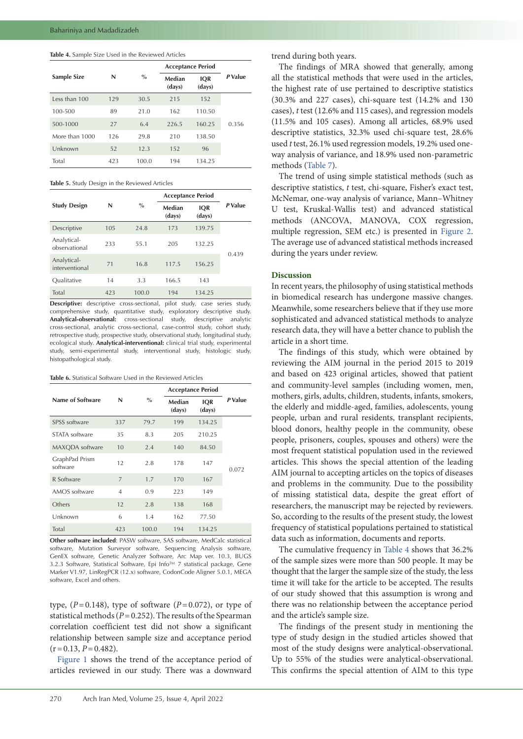## <span id="page-3-0"></span>**Table 4.** Sample Size Used in the Reviewed Articles

|                |     |       | <b>Acceptance Period</b> |                      |         |
|----------------|-----|-------|--------------------------|----------------------|---------|
| Sample Size    | N   | $\%$  | Median<br>(days)         | <b>IQR</b><br>(days) | P Value |
| Less than 100  | 129 | 30.5  | 215                      | 152                  |         |
| 100-500        | 89  | 21.0  | 162                      | 110.50               |         |
| 500-1000       | 27  | 6.4   | 226.5                    | 160.25               | 0.356   |
| More than 1000 | 126 | 29.8  | 210                      | 138.50               |         |
| Unknown        | 52  | 12.3  | 152                      | 96                   |         |
| Total          | 423 | 100.0 | 194                      | 134.25               |         |

<span id="page-3-1"></span>**Table 5.** Study Design in the Reviewed Articles

|                               |     |       | <b>Acceptance Period</b> |                      |         |
|-------------------------------|-----|-------|--------------------------|----------------------|---------|
| <b>Study Design</b>           | N   | $\%$  | Median<br>(days)         | <b>IOR</b><br>(days) | P Value |
| Descriptive                   | 105 | 24.8  | 173                      | 139.75               |         |
| Analytical-<br>observational  | 233 | 55.1  | 205                      | 132.25               |         |
| Analytical-<br>interventional | 71  | 16.8  | 117.5                    | 156.25               | 0.439   |
| Oualitative                   | 14  | 3.3   | 166.5                    | 143                  |         |
| Total                         | 423 | 100.0 | 194                      | 134.25               |         |

**Descriptive:** descriptive cross-sectional, pilot study, case series study, comprehensive study, quantitative study, exploratory descriptive study. **Analytical-observational:** cross-sectional study, descriptive analytic cross-sectional, analytic cross-sectional, case-control study, cohort study, retrospective study, prospective study, observational study, longitudinal study, ecological study. **Analytical-interventional:** clinical trial study, experimental study, semi-experimental study, interventional study, histologic study, histopathological study.

#### <span id="page-3-2"></span>**Table 6.** Statistical Software Used in the Reviewed Articles

|                            |                |       | <b>Acceptance Period</b> |                      |         |
|----------------------------|----------------|-------|--------------------------|----------------------|---------|
| Name of Software           | N              | $\%$  | Median<br>(days)         | <b>IQR</b><br>(days) | P Value |
| SPSS software              | 337            | 79.7  | 199                      | 134.25               |         |
| STATA software             | 35             | 8.3   | 205                      | 210.25               |         |
| MAXQDA software            | 10             | 2.4   | 140                      | 84.50                |         |
| GraphPad Prism<br>software | 12             | 2.8   | 178                      | 147                  | 0.072   |
| R Software                 | 7              | 1.7   | 170                      | 167                  |         |
| AMOS software              | $\overline{4}$ | 0.9   | 223                      | 149                  |         |
| Others                     | 12             | 2.8   | 138                      | 168                  |         |
| Unknown                    | 6              | 1.4   | 162                      | 77.50                |         |
| Total                      | 423            | 100.0 | 194                      | 134.25               |         |

**Other software included**: PASW software, SAS software, MedCalc statistical software, Mutation Surveyor software, Sequencing Analysis software, GenEX software, Genetic Analyzer Software, Arc Map ver. 10.3, BUGS 3.2.3 Software, Statistical Software, Epi Info™ 7 statistical package, Gene Marker V1.97, LinRegPCR (12.x) software, CodonCode Aligner 5.0.1, MEGA software, Excel and others.

type,  $(P=0.148)$ , type of software  $(P=0.072)$ , or type of statistical methods (*P*=0.252). The results of the Spearman correlation coefficient test did not show a significant relationship between sample size and acceptance period  $(r=0.13, P=0.482)$ .

[Figure](#page-4-0) 1 shows the trend of the acceptance period of articles reviewed in our study. There was a downward trend during both years.

The findings of MRA showed that generally, among all the statistical methods that were used in the articles, the highest rate of use pertained to descriptive statistics (30.3% and 227 cases), chi-square test (14.2% and 130 cases), *t* test (12.6% and 115 cases), and regression models (11.5% and 105 cases). Among all articles, 68.9% used descriptive statistics, 32.3% used chi-square test, 28.6% used *t* test, 26.1% used regression models, 19.2% used oneway analysis of variance, and 18.9% used non-parametric methods ([Table](#page-4-1) 7).

The trend of using simple statistical methods (such as descriptive statistics, *t* test, chi-square, Fisher's exact test, McNemar, one-way analysis of variance, Mann–Whitney U test, Kruskal-Wallis test) and advanced statistical methods (ANCOVA, MANOVA, COX regression, multiple regression, SEM etc.) is presented in [Figure](#page-5-0) 2. The average use of advanced statistical methods increased during the years under review.

# **Discussion**

In recent years, the philosophy of using statistical methods in biomedical research has undergone massive changes. Meanwhile, some researchers believe that if they use more sophisticated and advanced statistical methods to analyze research data, they will have a better chance to publish the article in a short time.

The findings of this study, which were obtained by reviewing the AIM journal in the period 2015 to 2019 and based on 423 original articles, showed that patient and community-level samples (including women, men, mothers, girls, adults, children, students, infants, smokers, the elderly and middle-aged, families, adolescents, young people, urban and rural residents, transplant recipients, blood donors, healthy people in the community, obese people, prisoners, couples, spouses and others) were the most frequent statistical population used in the reviewed articles. This shows the special attention of the leading AIM journal to accepting articles on the topics of diseases and problems in the community. Due to the possibility of missing statistical data, despite the great effort of researchers, the manuscript may be rejected by reviewers. So, according to the results of the present study, the lowest frequency of statistical populations pertained to statistical data such as information, documents and reports.

The cumulative frequency in [Table](#page-3-0) 4 shows that 36.2% of the sample sizes were more than 500 people. It may be thought that the larger the sample size of the study, the less time it will take for the article to be accepted. The results of our study showed that this assumption is wrong and there was no relationship between the acceptance period and the article's sample size.

The findings of the present study in mentioning the type of study design in the studied articles showed that most of the study designs were analytical-observational. Up to 55% of the studies were analytical-observational. This confirms the special attention of AIM to this type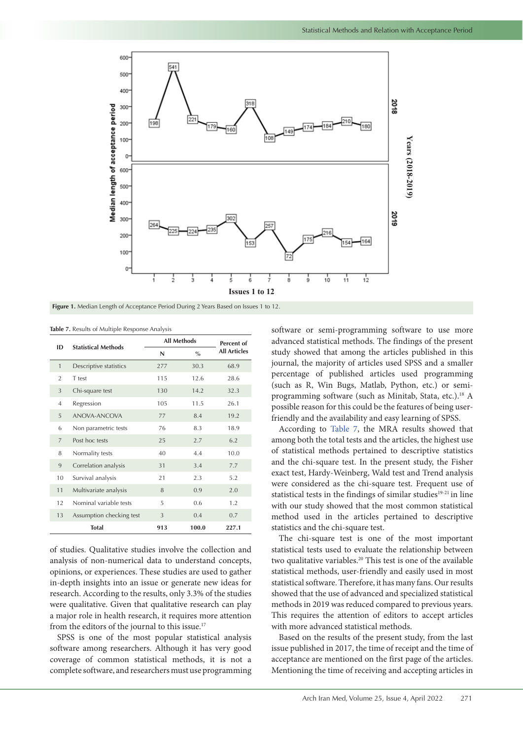<span id="page-4-0"></span>

**Figure 1.** Median Length of Acceptance Period During 2 Years Based on Issues 1 to 12.

<span id="page-4-1"></span>**Table 7.** Results of Multiple Response Analysis

| ID             | <b>Statistical Methods</b> | <b>All Methods</b> | Percent of    |                     |
|----------------|----------------------------|--------------------|---------------|---------------------|
|                |                            | N                  | $\frac{0}{0}$ | <b>All Articles</b> |
| $\mathbf{1}$   | Descriptive statistics     | 277                | 30.3          | 68.9                |
| $\overline{2}$ | T test                     | 115                | 12.6          | 28.6                |
| 3              | Chi-square test            | 130                | 14.2          | 32.3                |
| $\overline{4}$ | Regression                 | 105                | 11.5          | 26.1                |
| 5              | ANOVA-ANCOVA               | 77                 | 8.4           | 19.2                |
| 6              | Non parametric tests       | 76                 | 8.3           | 18.9                |
| $\overline{7}$ | Post hoc tests             | 25                 | 2.7           | 6.2                 |
| 8              | Normality tests            | 40                 | 4.4           | 10.0                |
| 9              | Correlation analysis       | 31                 | 3.4           | 7.7                 |
| 10             | Survival analysis          | 21                 | 2.3           | 5.2                 |
| 11             | Multivariate analysis      | 8                  | 0.9           | 2.0                 |
| 12             | Nominal variable tests     | 5                  | 0.6           | 1.2                 |
| 13             | Assumption checking test   | 3                  | 0.4           | 0.7                 |
|                | Total                      | 913                | 100.0         | 227.1               |

of studies. Qualitative studies involve the collection and analysis of non-numerical data to understand concepts, opinions, or experiences. These studies are used to gather in-depth insights into an issue or generate new ideas for research. According to the results, only 3.3% of the studies were qualitative. Given that qualitative research can play a major role in health research, it requires more attention from the editors of the journal to this issue.<sup>17</sup>

SPSS is one of the most popular statistical analysis software among researchers. Although it has very good coverage of common statistical methods, it is not a complete software, and researchers must use programming software or semi-programming software to use more advanced statistical methods. The findings of the present study showed that among the articles published in this journal, the majority of articles used SPSS and a smaller percentage of published articles used programming (such as R, Win Bugs, Matlab, Python, etc.) or semiprogramming software (such as Minitab, Stata, etc.).<sup>18</sup> A possible reason for this could be the features of being userfriendly and the availability and easy learning of SPSS.

According to [Table](#page-4-1) 7, the MRA results showed that among both the total tests and the articles, the highest use of statistical methods pertained to descriptive statistics and the chi-square test. In the present study, the Fisher exact test, Hardy-Weinberg, Wald test and Trend analysis were considered as the chi-square test. Frequent use of statistical tests in the findings of similar studies<sup>19-21</sup> in line with our study showed that the most common statistical method used in the articles pertained to descriptive statistics and the chi-square test.

The chi-square test is one of the most important statistical tests used to evaluate the relationship between two qualitative variables.<sup>20</sup> This test is one of the available statistical methods, user-friendly and easily used in most statistical software. Therefore, it has many fans. Our results showed that the use of advanced and specialized statistical methods in 2019 was reduced compared to previous years. This requires the attention of editors to accept articles with more advanced statistical methods.

Based on the results of the present study, from the last issue published in 2017, the time of receipt and the time of acceptance are mentioned on the first page of the articles. Mentioning the time of receiving and accepting articles in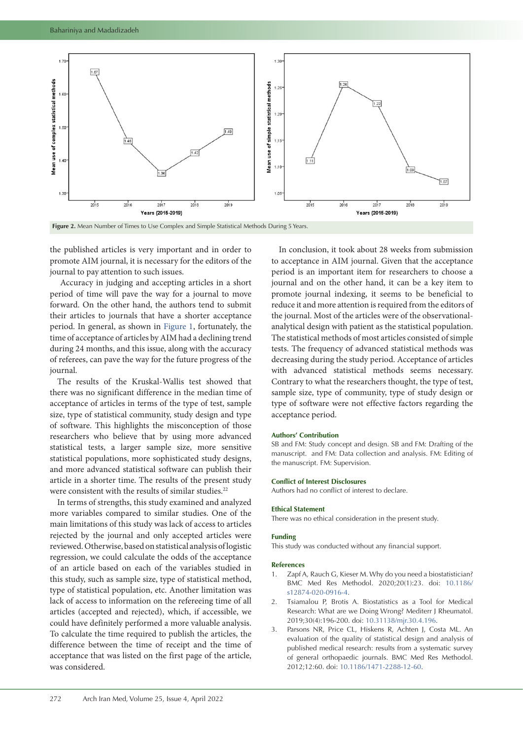

the published articles is very important and in order to promote AIM journal, it is necessary for the editors of the journal to pay attention to such issues.

 Accuracy in judging and accepting articles in a short period of time will pave the way for a journal to move forward. On the other hand, the authors tend to submit their articles to journals that have a shorter acceptance period. In general, as shown in [Figure](#page-4-0) 1, fortunately, the time of acceptance of articles by AIM had a declining trend during 24 months, and this issue, along with the accuracy of referees, can pave the way for the future progress of the journal.

The results of the Kruskal-Wallis test showed that there was no significant difference in the median time of acceptance of articles in terms of the type of test, sample size, type of statistical community, study design and type of software. This highlights the misconception of those researchers who believe that by using more advanced statistical tests, a larger sample size, more sensitive statistical populations, more sophisticated study designs, and more advanced statistical software can publish their article in a shorter time. The results of the present study were consistent with the results of similar studies.<sup>22</sup>

In terms of strengths, this study examined and analyzed more variables compared to similar studies. One of the main limitations of this study was lack of access to articles rejected by the journal and only accepted articles were reviewed. Otherwise, based on statistical analysis of logistic regression, we could calculate the odds of the acceptance of an article based on each of the variables studied in this study, such as sample size, type of statistical method, type of statistical population, etc. Another limitation was lack of access to information on the refereeing time of all articles (accepted and rejected), which, if accessible, we could have definitely performed a more valuable analysis. To calculate the time required to publish the articles, the difference between the time of receipt and the time of acceptance that was listed on the first page of the article, was considered.

<span id="page-5-0"></span>In conclusion, it took about 28 weeks from submission to acceptance in AIM journal. Given that the acceptance period is an important item for researchers to choose a journal and on the other hand, it can be a key item to promote journal indexing, it seems to be beneficial to reduce it and more attention is required from the editors of the journal. Most of the articles were of the observationalanalytical design with patient as the statistical population. The statistical methods of most articles consisted of simple tests. The frequency of advanced statistical methods was decreasing during the study period. Acceptance of articles with advanced statistical methods seems necessary. Contrary to what the researchers thought, the type of test, sample size, type of community, type of study design or type of software were not effective factors regarding the acceptance period.

### **Authors' Contribution**

SB and FM: Study concept and design. SB and FM: Drafting of the manuscript. and FM: Data collection and analysis. FM: Editing of the manuscript. FM: Supervision.

# **Conflict of Interest Disclosures**

Authors had no conflict of interest to declare.

#### **Ethical Statement**

There was no ethical consideration in the present study.

## **Funding**

This study was conducted without any financial support.

#### **References**

- 1. Zapf A, Rauch G, Kieser M. Why do you need a biostatistician? BMC Med Res Methodol. 2020;20(1):23. doi: [10.1186/](https://doi.org/10.1186/s12874-020-0916-4) [s12874-020-0916-4.](https://doi.org/10.1186/s12874-020-0916-4)
- 2. Tsiamalou P, Brotis A. Biostatistics as a Tool for Medical Research: What are we Doing Wrong? Mediterr J Rheumatol. 2019;30(4):196-200. doi: [10.31138/mjr.30.4.196](https://doi.org/10.31138/mjr.30.4.196).
- 3. Parsons NR, Price CL, Hiskens R, Achten J, Costa ML. An evaluation of the quality of statistical design and analysis of published medical research: results from a systematic survey of general orthopaedic journals. BMC Med Res Methodol. 2012;12:60. doi: [10.1186/1471-2288-12-60.](https://doi.org/10.1186/1471-2288-12-60)